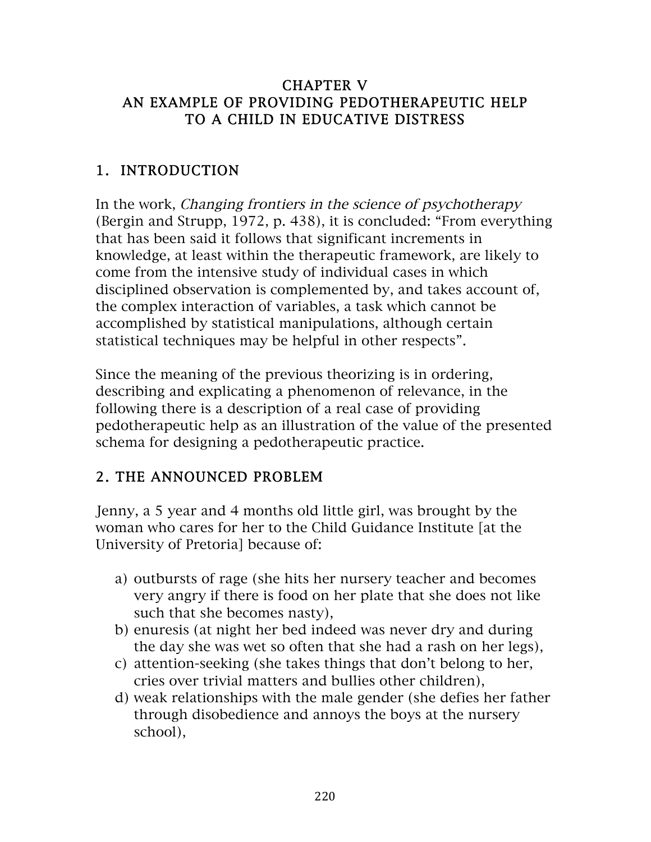### CHAPTER V AN EXAMPLE OF PROVIDING PEDOTHERAPEUTIC HELP TO A CHILD IN EDUCATIVE DISTRESS

# 1. INTRODUCTION

In the work, Changing frontiers in the science of psychotherapy (Bergin and Strupp, 1972, p. 438), it is concluded: "From everything that has been said it follows that significant increments in knowledge, at least within the therapeutic framework, are likely to come from the intensive study of individual cases in which disciplined observation is complemented by, and takes account of, the complex interaction of variables, a task which cannot be accomplished by statistical manipulations, although certain statistical techniques may be helpful in other respects".

Since the meaning of the previous theorizing is in ordering, describing and explicating a phenomenon of relevance, in the following there is a description of a real case of providing pedotherapeutic help as an illustration of the value of the presented schema for designing a pedotherapeutic practice.

## 2. THE ANNOUNCED PROBLEM

Jenny, a 5 year and 4 months old little girl, was brought by the woman who cares for her to the Child Guidance Institute [at the University of Pretoria] because of:

- a) outbursts of rage (she hits her nursery teacher and becomes very angry if there is food on her plate that she does not like such that she becomes nasty),
- b) enuresis (at night her bed indeed was never dry and during the day she was wet so often that she had a rash on her legs),
- c) attention-seeking (she takes things that don't belong to her, cries over trivial matters and bullies other children),
- d) weak relationships with the male gender (she defies her father through disobedience and annoys the boys at the nursery school),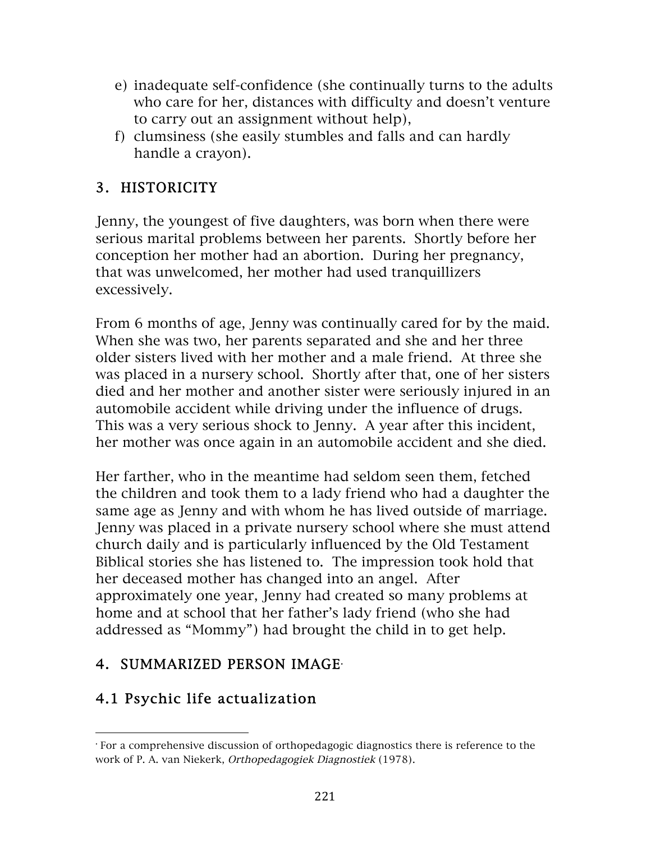- e) inadequate self-confidence (she continually turns to the adults who care for her, distances with difficulty and doesn't venture to carry out an assignment without help),
- f) clumsiness (she easily stumbles and falls and can hardly handle a crayon).

## 3. HISTORICITY

Jenny, the youngest of five daughters, was born when there were serious marital problems between her parents. Shortly before her conception her mother had an abortion. During her pregnancy, that was unwelcomed, her mother had used tranquillizers excessively.

From 6 months of age, Jenny was continually cared for by the maid. When she was two, her parents separated and she and her three older sisters lived with her mother and a male friend. At three she was placed in a nursery school. Shortly after that, one of her sisters died and her mother and another sister were seriously injured in an automobile accident while driving under the influence of drugs. This was a very serious shock to Jenny. A year after this incident, her mother was once again in an automobile accident and she died.

Her farther, who in the meantime had seldom seen them, fetched the children and took them to a lady friend who had a daughter the same age as Jenny and with whom he has lived outside of marriage. Jenny was placed in a private nursery school where she must attend church daily and is particularly influenced by the Old Testament Biblical stories she has listened to. The impression took hold that her deceased mother has changed into an angel. After approximately one year, Jenny had created so many problems at home and at school that her father's lady friend (who she had addressed as "Mommy") had brought the child in to get help.

# 4. SUMMARIZED PERSON IMAGE•

# 4.1 Psychic life actualization

 

<sup>•</sup> For a comprehensive discussion of orthopedagogic diagnostics there is reference to the work of P. A. van Niekerk, Orthopedagogiek Diagnostiek (1978).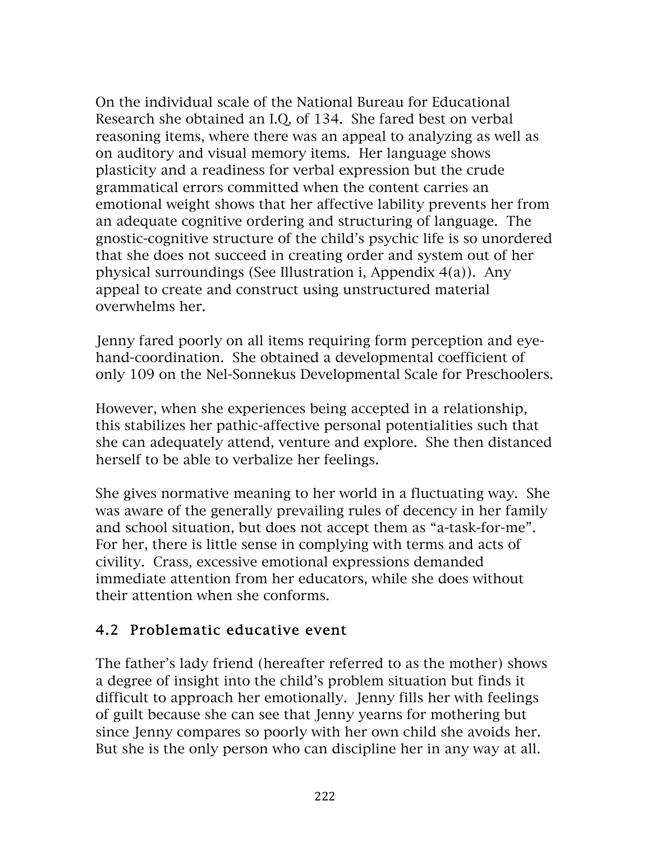On the individual scale of the National Bureau for Educational Research she obtained an I.Q. of 134. She fared best on verbal reasoning items, where there was an appeal to analyzing as well as on auditory and visual memory items. Her language shows plasticity and a readiness for verbal expression but the crude grammatical errors committed when the content carries an emotional weight shows that her affective lability prevents her from an adequate cognitive ordering and structuring of language. The gnostic-cognitive structure of the child's psychic life is so unordered that she does not succeed in creating order and system out of her physical surroundings (See Illustration i, Appendix 4(a)). Any appeal to create and construct using unstructured material overwhelms her.

Jenny fared poorly on all items requiring form perception and eyehand-coordination. She obtained a developmental coefficient of only 109 on the Nel-Sonnekus Developmental Scale for Preschoolers.

However, when she experiences being accepted in a relationship, this stabilizes her pathic-affective personal potentialities such that she can adequately attend, venture and explore. She then distanced herself to be able to verbalize her feelings.

She gives normative meaning to her world in a fluctuating way. She was aware of the generally prevailing rules of decency in her family and school situation, but does not accept them as "a-task-for-me". For her, there is little sense in complying with terms and acts of civility. Crass, excessive emotional expressions demanded immediate attention from her educators, while she does without their attention when she conforms.

## 4.2 Problematic educative event

The father's lady friend (hereafter referred to as the mother) shows a degree of insight into the child's problem situation but finds it difficult to approach her emotionally. Jenny fills her with feelings of guilt because she can see that Jenny yearns for mothering but since Jenny compares so poorly with her own child she avoids her. But she is the only person who can discipline her in any way at all.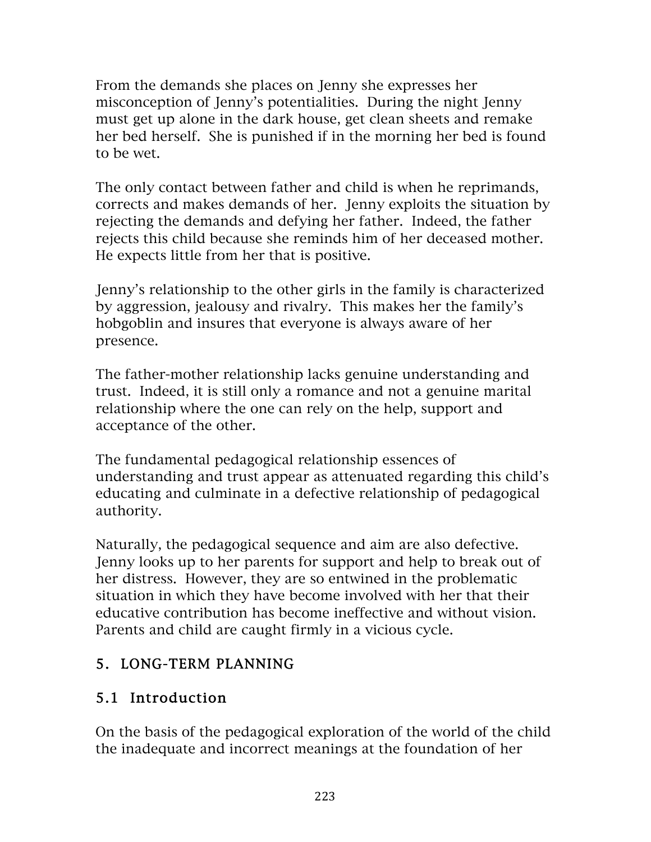From the demands she places on Jenny she expresses her misconception of Jenny's potentialities. During the night Jenny must get up alone in the dark house, get clean sheets and remake her bed herself. She is punished if in the morning her bed is found to be wet.

The only contact between father and child is when he reprimands, corrects and makes demands of her. Jenny exploits the situation by rejecting the demands and defying her father. Indeed, the father rejects this child because she reminds him of her deceased mother. He expects little from her that is positive.

Jenny's relationship to the other girls in the family is characterized by aggression, jealousy and rivalry. This makes her the family's hobgoblin and insures that everyone is always aware of her presence.

The father-mother relationship lacks genuine understanding and trust. Indeed, it is still only a romance and not a genuine marital relationship where the one can rely on the help, support and acceptance of the other.

The fundamental pedagogical relationship essences of understanding and trust appear as attenuated regarding this child's educating and culminate in a defective relationship of pedagogical authority.

Naturally, the pedagogical sequence and aim are also defective. Jenny looks up to her parents for support and help to break out of her distress. However, they are so entwined in the problematic situation in which they have become involved with her that their educative contribution has become ineffective and without vision. Parents and child are caught firmly in a vicious cycle.

## 5. LONG-TERM PLANNING

## 5.1 Introduction

On the basis of the pedagogical exploration of the world of the child the inadequate and incorrect meanings at the foundation of her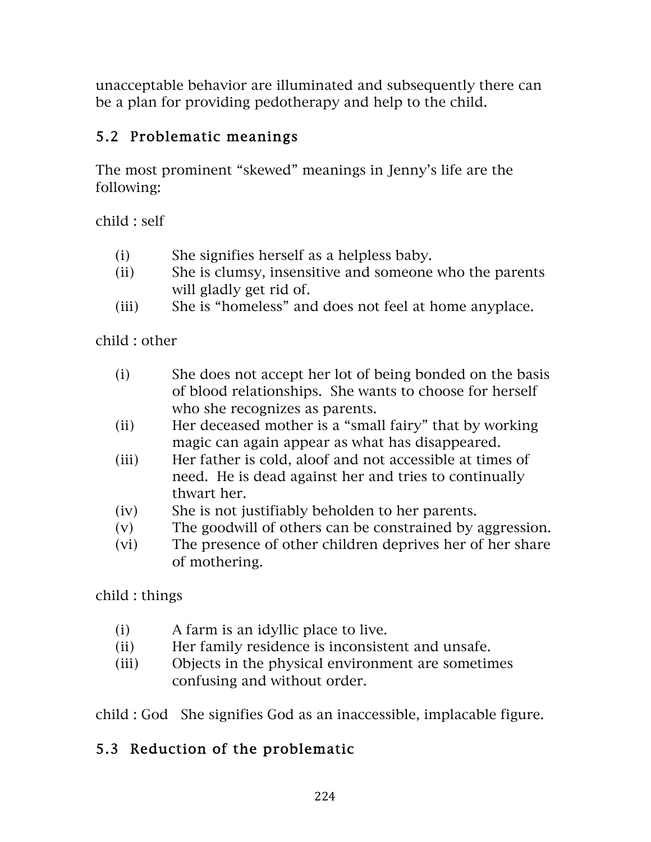unacceptable behavior are illuminated and subsequently there can be a plan for providing pedotherapy and help to the child.

# 5.2 Problematic meanings

The most prominent "skewed" meanings in Jenny's life are the following:

child : self

- (i) She signifies herself as a helpless baby.
- (ii) She is clumsy, insensitive and someone who the parents will gladly get rid of.
- (iii) She is "homeless" and does not feel at home anyplace.

child : other

- (i) She does not accept her lot of being bonded on the basis of blood relationships. She wants to choose for herself who she recognizes as parents.
- (ii) Her deceased mother is a "small fairy" that by working magic can again appear as what has disappeared.
- (iii) Her father is cold, aloof and not accessible at times of need. He is dead against her and tries to continually thwart her.
- (iv) She is not justifiably beholden to her parents.
- (v) The goodwill of others can be constrained by aggression.
- (vi) The presence of other children deprives her of her share of mothering.

child : things

- (i) A farm is an idyllic place to live.
- (ii) Her family residence is inconsistent and unsafe.
- (iii) Objects in the physical environment are sometimes confusing and without order.

child : God She signifies God as an inaccessible, implacable figure.

## 5.3 Reduction of the problematic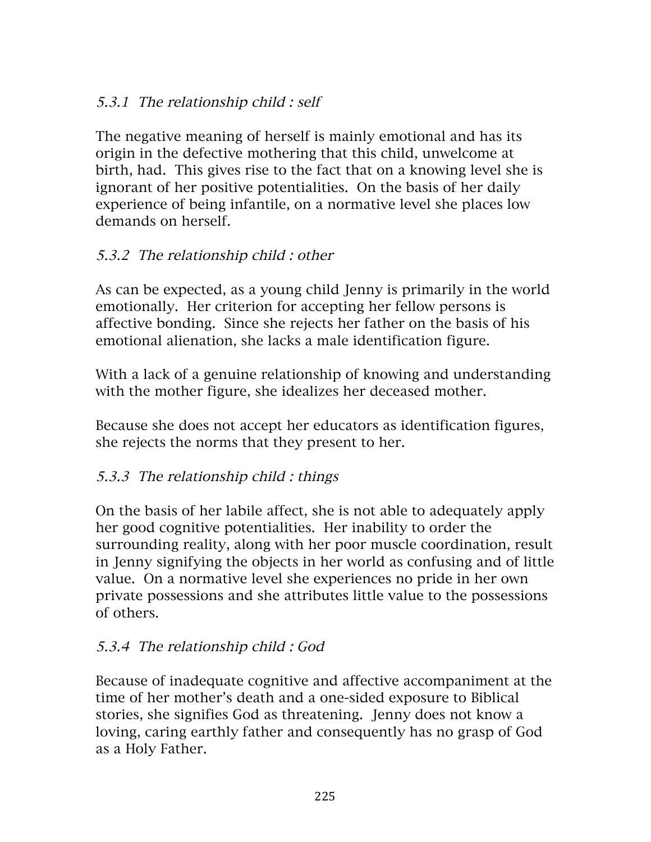### 5.3.1 The relationship child : self

The negative meaning of herself is mainly emotional and has its origin in the defective mothering that this child, unwelcome at birth, had. This gives rise to the fact that on a knowing level she is ignorant of her positive potentialities. On the basis of her daily experience of being infantile, on a normative level she places low demands on herself.

## 5.3.2 The relationship child : other

As can be expected, as a young child Jenny is primarily in the world emotionally. Her criterion for accepting her fellow persons is affective bonding. Since she rejects her father on the basis of his emotional alienation, she lacks a male identification figure.

With a lack of a genuine relationship of knowing and understanding with the mother figure, she idealizes her deceased mother.

Because she does not accept her educators as identification figures, she rejects the norms that they present to her.

### 5.3.3 The relationship child : things

On the basis of her labile affect, she is not able to adequately apply her good cognitive potentialities. Her inability to order the surrounding reality, along with her poor muscle coordination, result in Jenny signifying the objects in her world as confusing and of little value. On a normative level she experiences no pride in her own private possessions and she attributes little value to the possessions of others.

### 5.3.4 The relationship child : God

Because of inadequate cognitive and affective accompaniment at the time of her mother's death and a one-sided exposure to Biblical stories, she signifies God as threatening. Jenny does not know a loving, caring earthly father and consequently has no grasp of God as a Holy Father.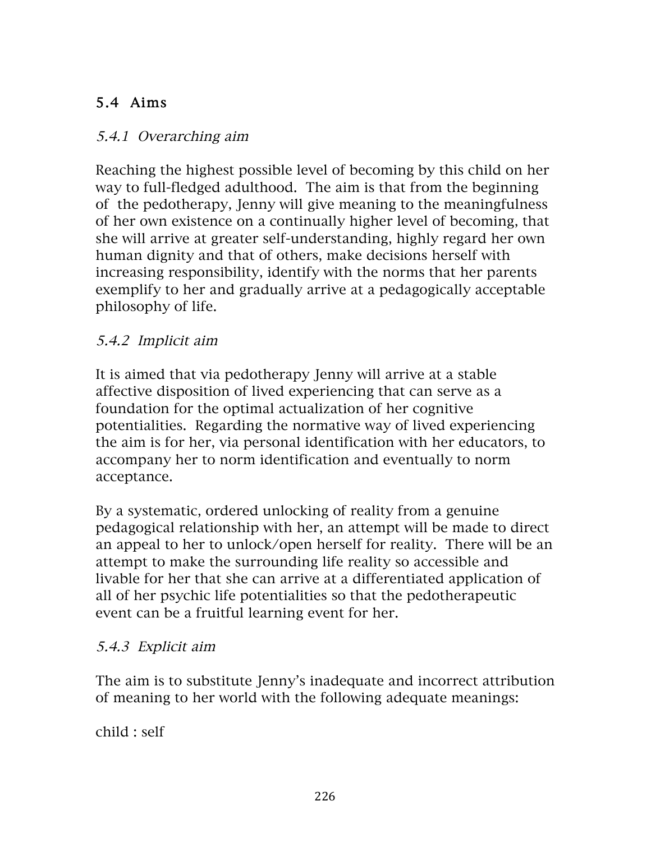# 5.4 Aims

### 5.4.1 Overarching aim

Reaching the highest possible level of becoming by this child on her way to full-fledged adulthood. The aim is that from the beginning of the pedotherapy, Jenny will give meaning to the meaningfulness of her own existence on a continually higher level of becoming, that she will arrive at greater self-understanding, highly regard her own human dignity and that of others, make decisions herself with increasing responsibility, identify with the norms that her parents exemplify to her and gradually arrive at a pedagogically acceptable philosophy of life.

### 5.4.2 Implicit aim

It is aimed that via pedotherapy Jenny will arrive at a stable affective disposition of lived experiencing that can serve as a foundation for the optimal actualization of her cognitive potentialities. Regarding the normative way of lived experiencing the aim is for her, via personal identification with her educators, to accompany her to norm identification and eventually to norm acceptance.

By a systematic, ordered unlocking of reality from a genuine pedagogical relationship with her, an attempt will be made to direct an appeal to her to unlock/open herself for reality. There will be an attempt to make the surrounding life reality so accessible and livable for her that she can arrive at a differentiated application of all of her psychic life potentialities so that the pedotherapeutic event can be a fruitful learning event for her.

### 5.4.3 Explicit aim

The aim is to substitute Jenny's inadequate and incorrect attribution of meaning to her world with the following adequate meanings:

child : self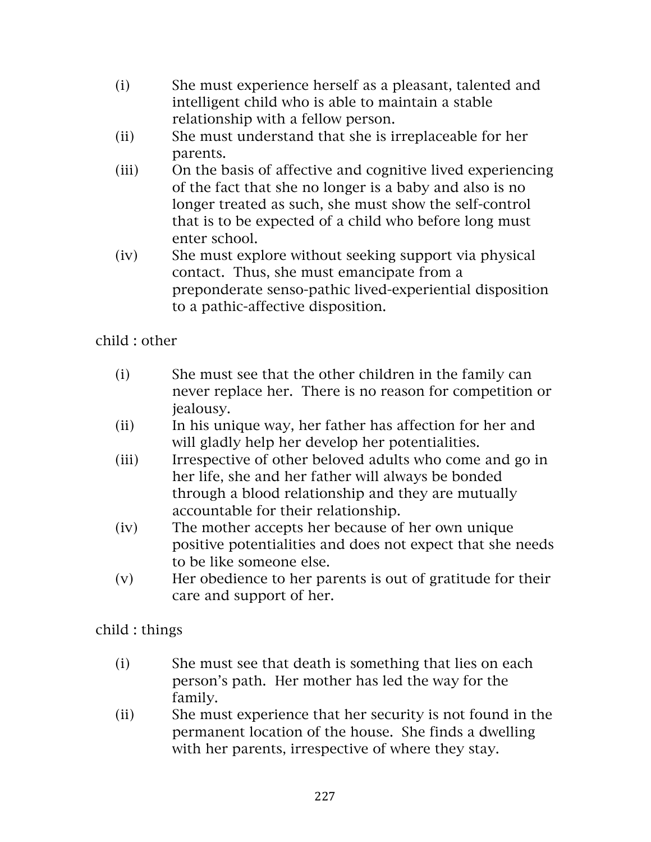- (i) She must experience herself as a pleasant, talented and intelligent child who is able to maintain a stable relationship with a fellow person.
- (ii) She must understand that she is irreplaceable for her parents.
- (iii) On the basis of affective and cognitive lived experiencing of the fact that she no longer is a baby and also is no longer treated as such, she must show the self-control that is to be expected of a child who before long must enter school.
- (iv) She must explore without seeking support via physical contact. Thus, she must emancipate from a preponderate senso-pathic lived-experiential disposition to a pathic-affective disposition.

child : other

- (i) She must see that the other children in the family can never replace her. There is no reason for competition or jealousy.
- (ii) In his unique way, her father has affection for her and will gladly help her develop her potentialities.
- (iii) Irrespective of other beloved adults who come and go in her life, she and her father will always be bonded through a blood relationship and they are mutually accountable for their relationship.
- (iv) The mother accepts her because of her own unique positive potentialities and does not expect that she needs to be like someone else.
- (v) Her obedience to her parents is out of gratitude for their care and support of her.

child : things

- (i) She must see that death is something that lies on each person's path. Her mother has led the way for the family.
- (ii) She must experience that her security is not found in the permanent location of the house. She finds a dwelling with her parents, irrespective of where they stay.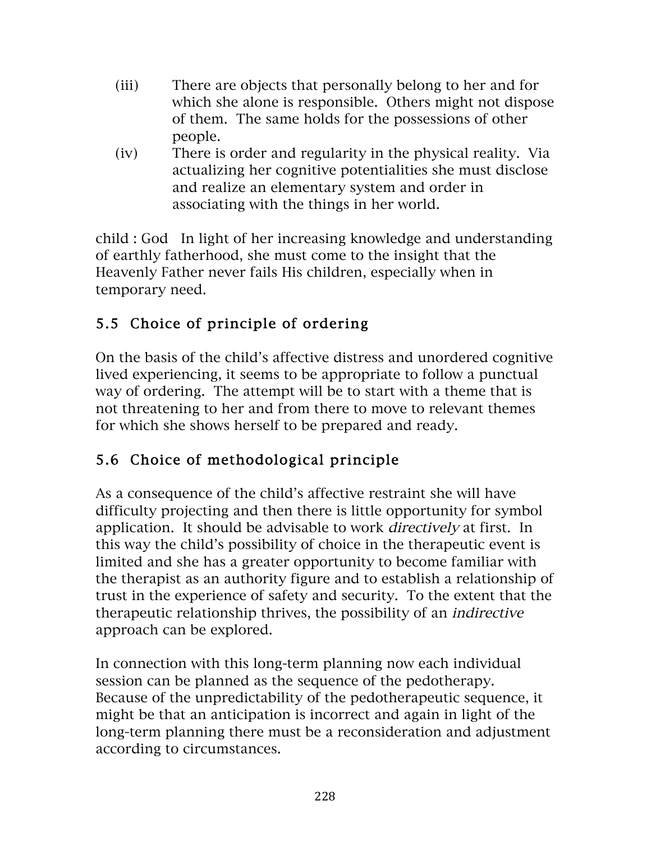- (iii) There are objects that personally belong to her and for which she alone is responsible. Others might not dispose of them. The same holds for the possessions of other people.
- (iv) There is order and regularity in the physical reality. Via actualizing her cognitive potentialities she must disclose and realize an elementary system and order in associating with the things in her world.

child : God In light of her increasing knowledge and understanding of earthly fatherhood, she must come to the insight that the Heavenly Father never fails His children, especially when in temporary need.

# 5.5 Choice of principle of ordering

On the basis of the child's affective distress and unordered cognitive lived experiencing, it seems to be appropriate to follow a punctual way of ordering. The attempt will be to start with a theme that is not threatening to her and from there to move to relevant themes for which she shows herself to be prepared and ready.

# 5.6 Choice of methodological principle

As a consequence of the child's affective restraint she will have difficulty projecting and then there is little opportunity for symbol application. It should be advisable to work directively at first. In this way the child's possibility of choice in the therapeutic event is limited and she has a greater opportunity to become familiar with the therapist as an authority figure and to establish a relationship of trust in the experience of safety and security. To the extent that the therapeutic relationship thrives, the possibility of an indirective approach can be explored.

In connection with this long-term planning now each individual session can be planned as the sequence of the pedotherapy. Because of the unpredictability of the pedotherapeutic sequence, it might be that an anticipation is incorrect and again in light of the long-term planning there must be a reconsideration and adjustment according to circumstances.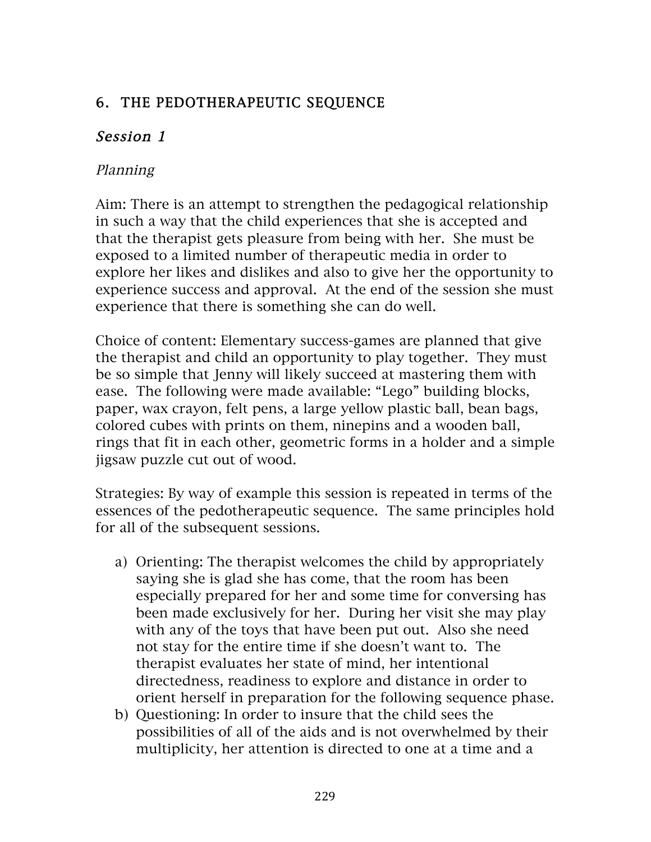## 6. THE PEDOTHERAPEUTIC SEQUENCE

## Session 1

## Planning

Aim: There is an attempt to strengthen the pedagogical relationship in such a way that the child experiences that she is accepted and that the therapist gets pleasure from being with her. She must be exposed to a limited number of therapeutic media in order to explore her likes and dislikes and also to give her the opportunity to experience success and approval. At the end of the session she must experience that there is something she can do well.

Choice of content: Elementary success-games are planned that give the therapist and child an opportunity to play together. They must be so simple that Jenny will likely succeed at mastering them with ease. The following were made available: "Lego" building blocks, paper, wax crayon, felt pens, a large yellow plastic ball, bean bags, colored cubes with prints on them, ninepins and a wooden ball, rings that fit in each other, geometric forms in a holder and a simple jigsaw puzzle cut out of wood.

Strategies: By way of example this session is repeated in terms of the essences of the pedotherapeutic sequence. The same principles hold for all of the subsequent sessions.

- a) Orienting: The therapist welcomes the child by appropriately saying she is glad she has come, that the room has been especially prepared for her and some time for conversing has been made exclusively for her. During her visit she may play with any of the toys that have been put out. Also she need not stay for the entire time if she doesn't want to. The therapist evaluates her state of mind, her intentional directedness, readiness to explore and distance in order to orient herself in preparation for the following sequence phase.
- b) Questioning: In order to insure that the child sees the possibilities of all of the aids and is not overwhelmed by their multiplicity, her attention is directed to one at a time and a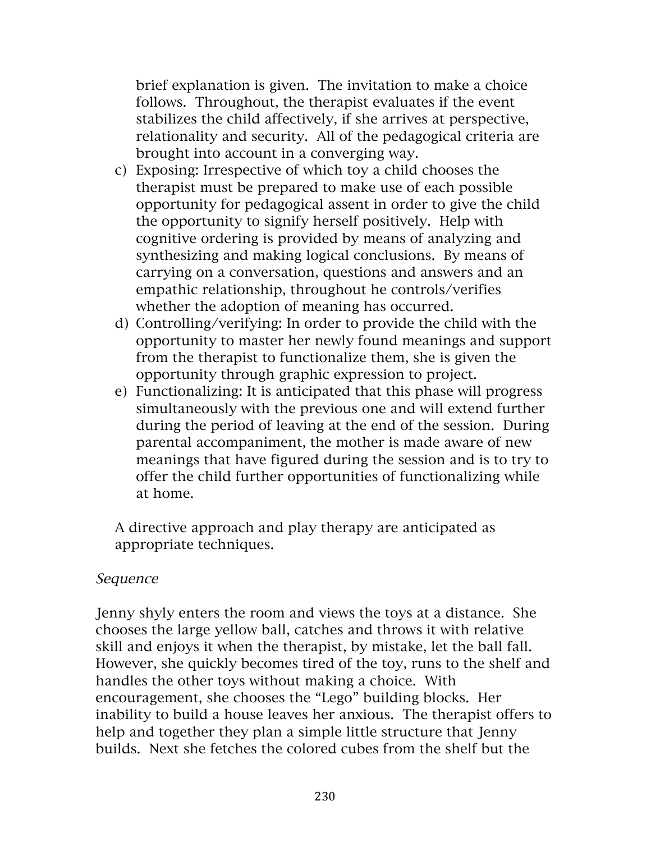brief explanation is given. The invitation to make a choice follows. Throughout, the therapist evaluates if the event stabilizes the child affectively, if she arrives at perspective, relationality and security. All of the pedagogical criteria are brought into account in a converging way.

- c) Exposing: Irrespective of which toy a child chooses the therapist must be prepared to make use of each possible opportunity for pedagogical assent in order to give the child the opportunity to signify herself positively. Help with cognitive ordering is provided by means of analyzing and synthesizing and making logical conclusions. By means of carrying on a conversation, questions and answers and an empathic relationship, throughout he controls/verifies whether the adoption of meaning has occurred.
- d) Controlling/verifying: In order to provide the child with the opportunity to master her newly found meanings and support from the therapist to functionalize them, she is given the opportunity through graphic expression to project.
- e) Functionalizing: It is anticipated that this phase will progress simultaneously with the previous one and will extend further during the period of leaving at the end of the session. During parental accompaniment, the mother is made aware of new meanings that have figured during the session and is to try to offer the child further opportunities of functionalizing while at home.

A directive approach and play therapy are anticipated as appropriate techniques.

#### Sequence

Jenny shyly enters the room and views the toys at a distance. She chooses the large yellow ball, catches and throws it with relative skill and enjoys it when the therapist, by mistake, let the ball fall. However, she quickly becomes tired of the toy, runs to the shelf and handles the other toys without making a choice. With encouragement, she chooses the "Lego" building blocks. Her inability to build a house leaves her anxious. The therapist offers to help and together they plan a simple little structure that Jenny builds. Next she fetches the colored cubes from the shelf but the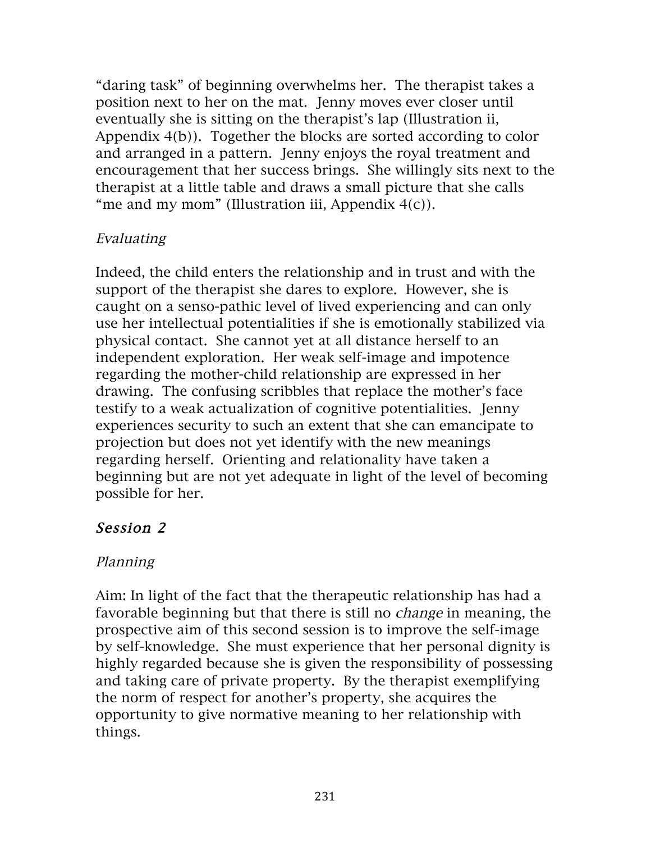"daring task" of beginning overwhelms her. The therapist takes a position next to her on the mat. Jenny moves ever closer until eventually she is sitting on the therapist's lap (Illustration ii, Appendix 4(b)). Together the blocks are sorted according to color and arranged in a pattern. Jenny enjoys the royal treatment and encouragement that her success brings. She willingly sits next to the therapist at a little table and draws a small picture that she calls "me and my mom" (Illustration iii, Appendix  $4(c)$ ).

## Evaluating

Indeed, the child enters the relationship and in trust and with the support of the therapist she dares to explore. However, she is caught on a senso-pathic level of lived experiencing and can only use her intellectual potentialities if she is emotionally stabilized via physical contact. She cannot yet at all distance herself to an independent exploration. Her weak self-image and impotence regarding the mother-child relationship are expressed in her drawing. The confusing scribbles that replace the mother's face testify to a weak actualization of cognitive potentialities. Jenny experiences security to such an extent that she can emancipate to projection but does not yet identify with the new meanings regarding herself. Orienting and relationality have taken a beginning but are not yet adequate in light of the level of becoming possible for her.

## Session 2

## Planning

Aim: In light of the fact that the therapeutic relationship has had a favorable beginning but that there is still no change in meaning, the prospective aim of this second session is to improve the self-image by self-knowledge. She must experience that her personal dignity is highly regarded because she is given the responsibility of possessing and taking care of private property. By the therapist exemplifying the norm of respect for another's property, she acquires the opportunity to give normative meaning to her relationship with things.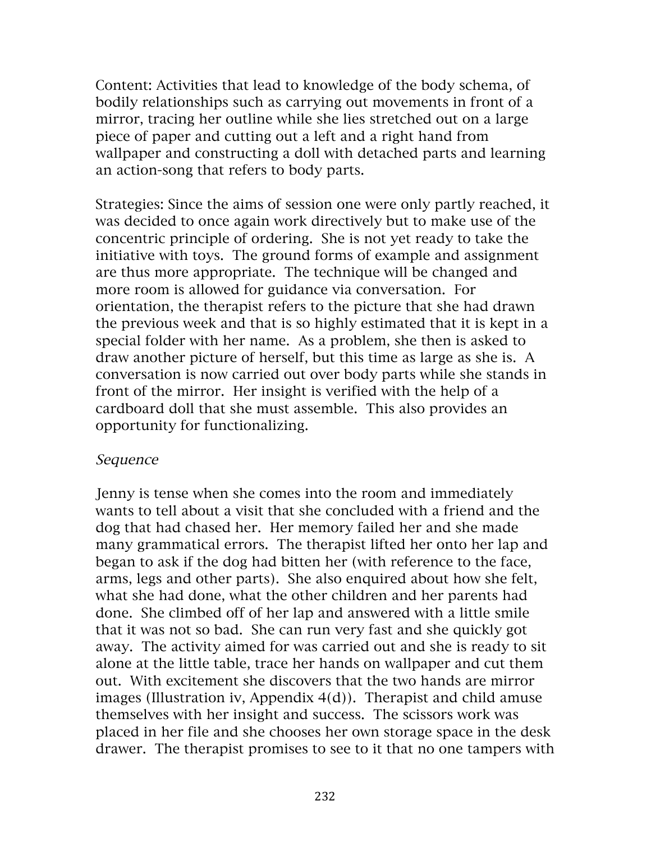Content: Activities that lead to knowledge of the body schema, of bodily relationships such as carrying out movements in front of a mirror, tracing her outline while she lies stretched out on a large piece of paper and cutting out a left and a right hand from wallpaper and constructing a doll with detached parts and learning an action-song that refers to body parts.

Strategies: Since the aims of session one were only partly reached, it was decided to once again work directively but to make use of the concentric principle of ordering. She is not yet ready to take the initiative with toys. The ground forms of example and assignment are thus more appropriate. The technique will be changed and more room is allowed for guidance via conversation. For orientation, the therapist refers to the picture that she had drawn the previous week and that is so highly estimated that it is kept in a special folder with her name. As a problem, she then is asked to draw another picture of herself, but this time as large as she is. A conversation is now carried out over body parts while she stands in front of the mirror. Her insight is verified with the help of a cardboard doll that she must assemble. This also provides an opportunity for functionalizing.

#### Sequence

Jenny is tense when she comes into the room and immediately wants to tell about a visit that she concluded with a friend and the dog that had chased her. Her memory failed her and she made many grammatical errors. The therapist lifted her onto her lap and began to ask if the dog had bitten her (with reference to the face, arms, legs and other parts). She also enquired about how she felt, what she had done, what the other children and her parents had done. She climbed off of her lap and answered with a little smile that it was not so bad. She can run very fast and she quickly got away. The activity aimed for was carried out and she is ready to sit alone at the little table, trace her hands on wallpaper and cut them out. With excitement she discovers that the two hands are mirror images (Illustration iv, Appendix 4(d)). Therapist and child amuse themselves with her insight and success. The scissors work was placed in her file and she chooses her own storage space in the desk drawer. The therapist promises to see to it that no one tampers with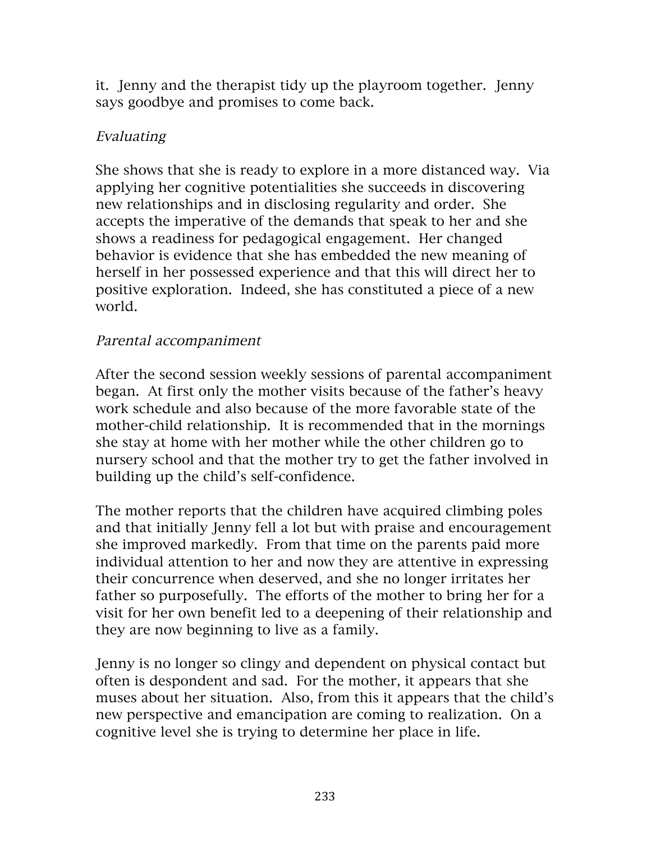it. Jenny and the therapist tidy up the playroom together. Jenny says goodbye and promises to come back.

## Evaluating

She shows that she is ready to explore in a more distanced way. Via applying her cognitive potentialities she succeeds in discovering new relationships and in disclosing regularity and order. She accepts the imperative of the demands that speak to her and she shows a readiness for pedagogical engagement. Her changed behavior is evidence that she has embedded the new meaning of herself in her possessed experience and that this will direct her to positive exploration. Indeed, she has constituted a piece of a new world.

## Parental accompaniment

After the second session weekly sessions of parental accompaniment began. At first only the mother visits because of the father's heavy work schedule and also because of the more favorable state of the mother-child relationship. It is recommended that in the mornings she stay at home with her mother while the other children go to nursery school and that the mother try to get the father involved in building up the child's self-confidence.

The mother reports that the children have acquired climbing poles and that initially Jenny fell a lot but with praise and encouragement she improved markedly. From that time on the parents paid more individual attention to her and now they are attentive in expressing their concurrence when deserved, and she no longer irritates her father so purposefully. The efforts of the mother to bring her for a visit for her own benefit led to a deepening of their relationship and they are now beginning to live as a family.

Jenny is no longer so clingy and dependent on physical contact but often is despondent and sad. For the mother, it appears that she muses about her situation. Also, from this it appears that the child's new perspective and emancipation are coming to realization. On a cognitive level she is trying to determine her place in life.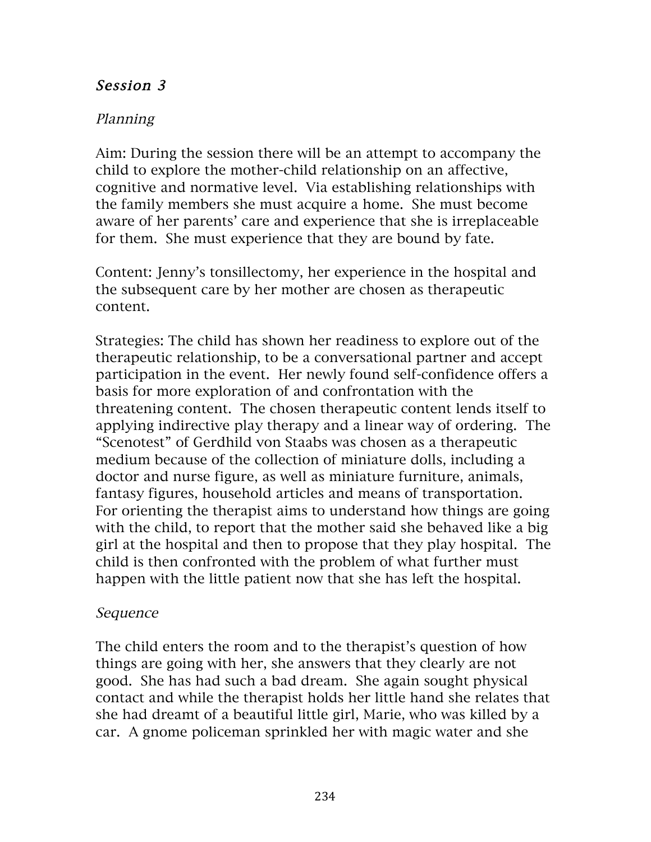### Session 3

### Planning

Aim: During the session there will be an attempt to accompany the child to explore the mother-child relationship on an affective, cognitive and normative level. Via establishing relationships with the family members she must acquire a home. She must become aware of her parents' care and experience that she is irreplaceable for them. She must experience that they are bound by fate.

Content: Jenny's tonsillectomy, her experience in the hospital and the subsequent care by her mother are chosen as therapeutic content.

Strategies: The child has shown her readiness to explore out of the therapeutic relationship, to be a conversational partner and accept participation in the event. Her newly found self-confidence offers a basis for more exploration of and confrontation with the threatening content. The chosen therapeutic content lends itself to applying indirective play therapy and a linear way of ordering. The "Scenotest" of Gerdhild von Staabs was chosen as a therapeutic medium because of the collection of miniature dolls, including a doctor and nurse figure, as well as miniature furniture, animals, fantasy figures, household articles and means of transportation. For orienting the therapist aims to understand how things are going with the child, to report that the mother said she behaved like a big girl at the hospital and then to propose that they play hospital. The child is then confronted with the problem of what further must happen with the little patient now that she has left the hospital.

## Sequence

The child enters the room and to the therapist's question of how things are going with her, she answers that they clearly are not good. She has had such a bad dream. She again sought physical contact and while the therapist holds her little hand she relates that she had dreamt of a beautiful little girl, Marie, who was killed by a car. A gnome policeman sprinkled her with magic water and she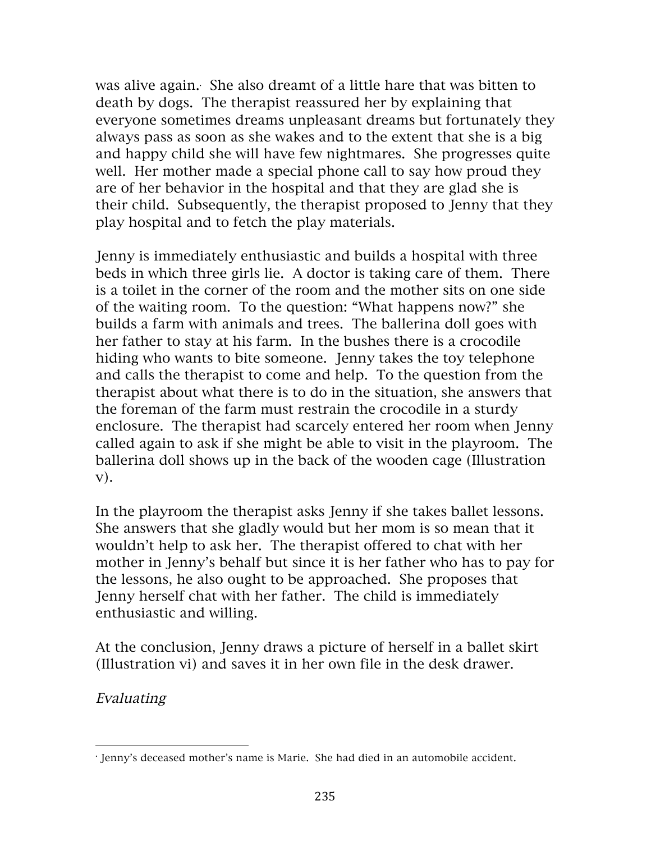was alive again.• She also dreamt of a little hare that was bitten to death by dogs. The therapist reassured her by explaining that everyone sometimes dreams unpleasant dreams but fortunately they always pass as soon as she wakes and to the extent that she is a big and happy child she will have few nightmares. She progresses quite well. Her mother made a special phone call to say how proud they are of her behavior in the hospital and that they are glad she is their child. Subsequently, the therapist proposed to Jenny that they play hospital and to fetch the play materials.

Jenny is immediately enthusiastic and builds a hospital with three beds in which three girls lie. A doctor is taking care of them. There is a toilet in the corner of the room and the mother sits on one side of the waiting room. To the question: "What happens now?" she builds a farm with animals and trees. The ballerina doll goes with her father to stay at his farm. In the bushes there is a crocodile hiding who wants to bite someone. Jenny takes the toy telephone and calls the therapist to come and help. To the question from the therapist about what there is to do in the situation, she answers that the foreman of the farm must restrain the crocodile in a sturdy enclosure. The therapist had scarcely entered her room when Jenny called again to ask if she might be able to visit in the playroom. The ballerina doll shows up in the back of the wooden cage (Illustration v).

In the playroom the therapist asks Jenny if she takes ballet lessons. She answers that she gladly would but her mom is so mean that it wouldn't help to ask her. The therapist offered to chat with her mother in Jenny's behalf but since it is her father who has to pay for the lessons, he also ought to be approached. She proposes that Jenny herself chat with her father. The child is immediately enthusiastic and willing.

At the conclusion, Jenny draws a picture of herself in a ballet skirt (Illustration vi) and saves it in her own file in the desk drawer.

Evaluating

 • Jenny's deceased mother's name is Marie. She had died in an automobile accident.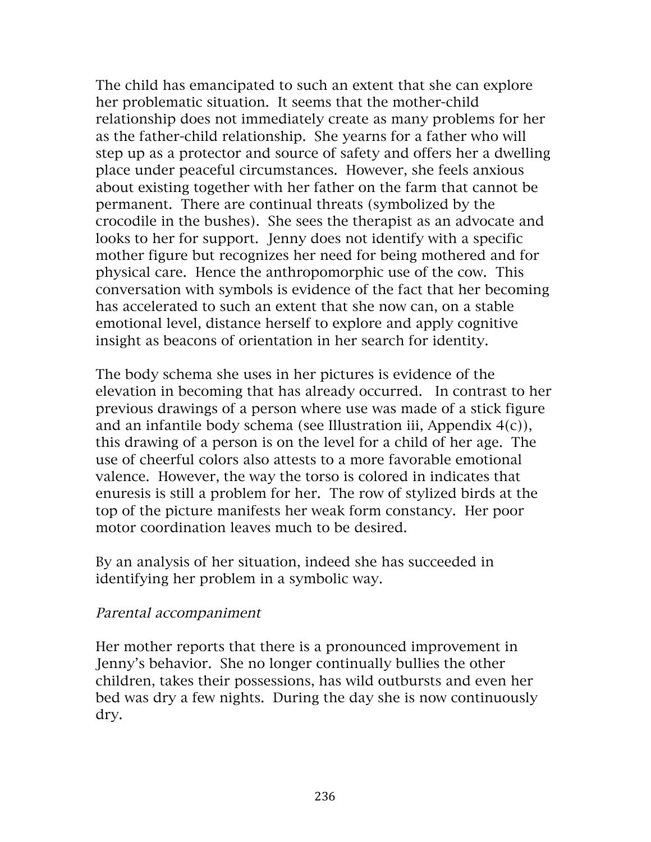The child has emancipated to such an extent that she can explore her problematic situation. It seems that the mother-child relationship does not immediately create as many problems for her as the father-child relationship. She yearns for a father who will step up as a protector and source of safety and offers her a dwelling place under peaceful circumstances. However, she feels anxious about existing together with her father on the farm that cannot be permanent. There are continual threats (symbolized by the crocodile in the bushes). She sees the therapist as an advocate and looks to her for support. Jenny does not identify with a specific mother figure but recognizes her need for being mothered and for physical care. Hence the anthropomorphic use of the cow. This conversation with symbols is evidence of the fact that her becoming has accelerated to such an extent that she now can, on a stable emotional level, distance herself to explore and apply cognitive insight as beacons of orientation in her search for identity.

The body schema she uses in her pictures is evidence of the elevation in becoming that has already occurred. In contrast to her previous drawings of a person where use was made of a stick figure and an infantile body schema (see Illustration iii, Appendix 4(c)), this drawing of a person is on the level for a child of her age. The use of cheerful colors also attests to a more favorable emotional valence. However, the way the torso is colored in indicates that enuresis is still a problem for her. The row of stylized birds at the top of the picture manifests her weak form constancy. Her poor motor coordination leaves much to be desired.

By an analysis of her situation, indeed she has succeeded in identifying her problem in a symbolic way.

#### Parental accompaniment

Her mother reports that there is a pronounced improvement in Jenny's behavior. She no longer continually bullies the other children, takes their possessions, has wild outbursts and even her bed was dry a few nights. During the day she is now continuously dry.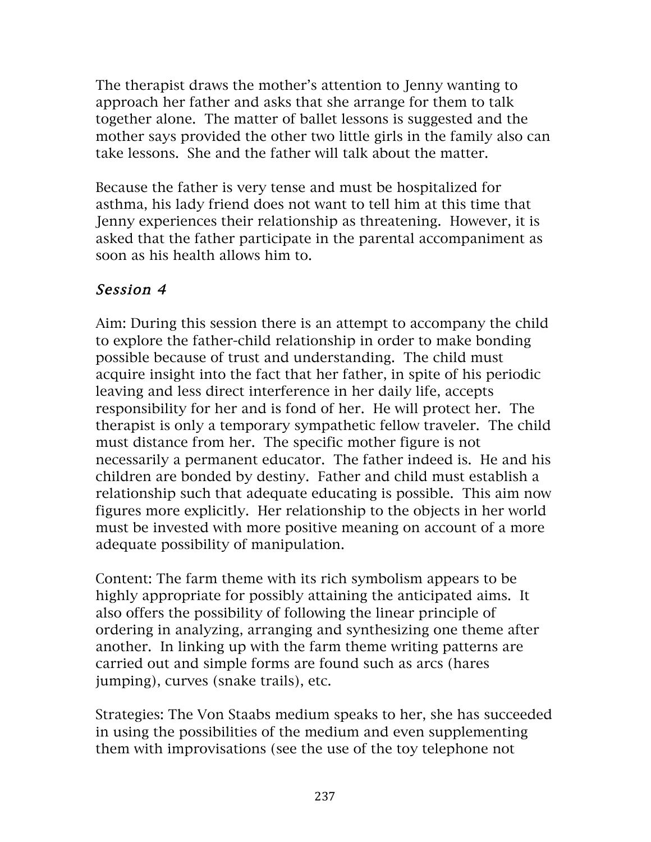The therapist draws the mother's attention to Jenny wanting to approach her father and asks that she arrange for them to talk together alone. The matter of ballet lessons is suggested and the mother says provided the other two little girls in the family also can take lessons. She and the father will talk about the matter.

Because the father is very tense and must be hospitalized for asthma, his lady friend does not want to tell him at this time that Jenny experiences their relationship as threatening. However, it is asked that the father participate in the parental accompaniment as soon as his health allows him to.

## Session 4

Aim: During this session there is an attempt to accompany the child to explore the father-child relationship in order to make bonding possible because of trust and understanding. The child must acquire insight into the fact that her father, in spite of his periodic leaving and less direct interference in her daily life, accepts responsibility for her and is fond of her. He will protect her. The therapist is only a temporary sympathetic fellow traveler. The child must distance from her. The specific mother figure is not necessarily a permanent educator. The father indeed is. He and his children are bonded by destiny. Father and child must establish a relationship such that adequate educating is possible. This aim now figures more explicitly. Her relationship to the objects in her world must be invested with more positive meaning on account of a more adequate possibility of manipulation.

Content: The farm theme with its rich symbolism appears to be highly appropriate for possibly attaining the anticipated aims. It also offers the possibility of following the linear principle of ordering in analyzing, arranging and synthesizing one theme after another. In linking up with the farm theme writing patterns are carried out and simple forms are found such as arcs (hares jumping), curves (snake trails), etc.

Strategies: The Von Staabs medium speaks to her, she has succeeded in using the possibilities of the medium and even supplementing them with improvisations (see the use of the toy telephone not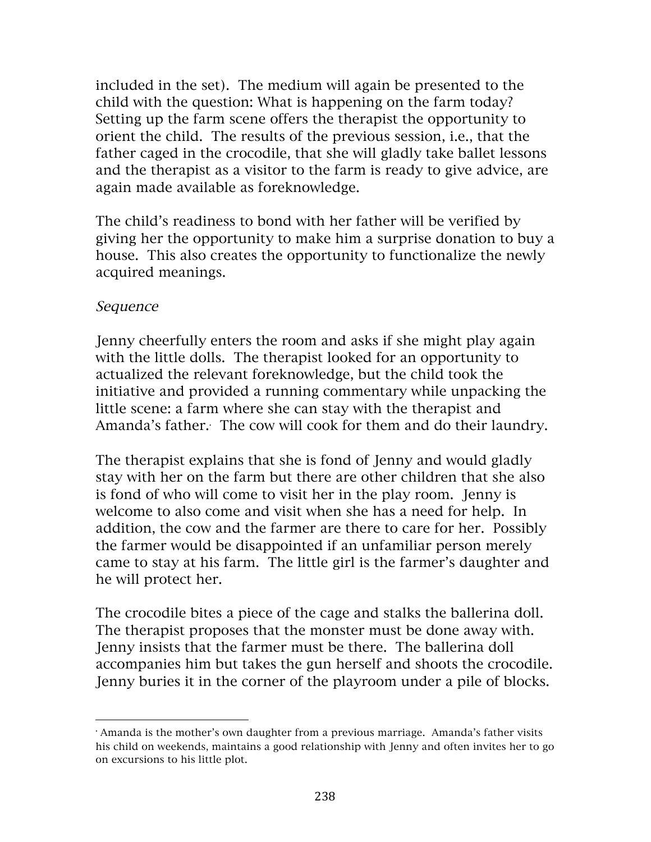included in the set). The medium will again be presented to the child with the question: What is happening on the farm today? Setting up the farm scene offers the therapist the opportunity to orient the child. The results of the previous session, i.e., that the father caged in the crocodile, that she will gladly take ballet lessons and the therapist as a visitor to the farm is ready to give advice, are again made available as foreknowledge.

The child's readiness to bond with her father will be verified by giving her the opportunity to make him a surprise donation to buy a house. This also creates the opportunity to functionalize the newly acquired meanings.

### Sequence

 

Jenny cheerfully enters the room and asks if she might play again with the little dolls. The therapist looked for an opportunity to actualized the relevant foreknowledge, but the child took the initiative and provided a running commentary while unpacking the little scene: a farm where she can stay with the therapist and Amanda's father. The cow will cook for them and do their laundry.

The therapist explains that she is fond of Jenny and would gladly stay with her on the farm but there are other children that she also is fond of who will come to visit her in the play room. Jenny is welcome to also come and visit when she has a need for help. In addition, the cow and the farmer are there to care for her. Possibly the farmer would be disappointed if an unfamiliar person merely came to stay at his farm. The little girl is the farmer's daughter and he will protect her.

The crocodile bites a piece of the cage and stalks the ballerina doll. The therapist proposes that the monster must be done away with. Jenny insists that the farmer must be there. The ballerina doll accompanies him but takes the gun herself and shoots the crocodile. Jenny buries it in the corner of the playroom under a pile of blocks.

<sup>•</sup> Amanda is the mother's own daughter from a previous marriage. Amanda's father visits his child on weekends, maintains a good relationship with Jenny and often invites her to go on excursions to his little plot.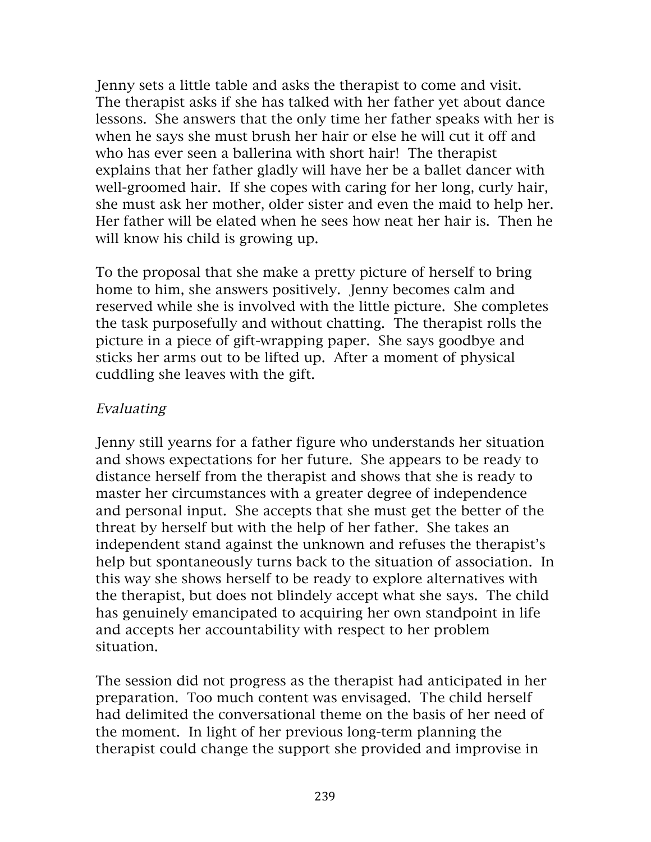Jenny sets a little table and asks the therapist to come and visit. The therapist asks if she has talked with her father yet about dance lessons. She answers that the only time her father speaks with her is when he says she must brush her hair or else he will cut it off and who has ever seen a ballerina with short hair! The therapist explains that her father gladly will have her be a ballet dancer with well-groomed hair. If she copes with caring for her long, curly hair, she must ask her mother, older sister and even the maid to help her. Her father will be elated when he sees how neat her hair is. Then he will know his child is growing up.

To the proposal that she make a pretty picture of herself to bring home to him, she answers positively. Jenny becomes calm and reserved while she is involved with the little picture. She completes the task purposefully and without chatting. The therapist rolls the picture in a piece of gift-wrapping paper. She says goodbye and sticks her arms out to be lifted up. After a moment of physical cuddling she leaves with the gift.

### Evaluating

Jenny still yearns for a father figure who understands her situation and shows expectations for her future. She appears to be ready to distance herself from the therapist and shows that she is ready to master her circumstances with a greater degree of independence and personal input. She accepts that she must get the better of the threat by herself but with the help of her father. She takes an independent stand against the unknown and refuses the therapist's help but spontaneously turns back to the situation of association. In this way she shows herself to be ready to explore alternatives with the therapist, but does not blindely accept what she says. The child has genuinely emancipated to acquiring her own standpoint in life and accepts her accountability with respect to her problem situation.

The session did not progress as the therapist had anticipated in her preparation. Too much content was envisaged. The child herself had delimited the conversational theme on the basis of her need of the moment. In light of her previous long-term planning the therapist could change the support she provided and improvise in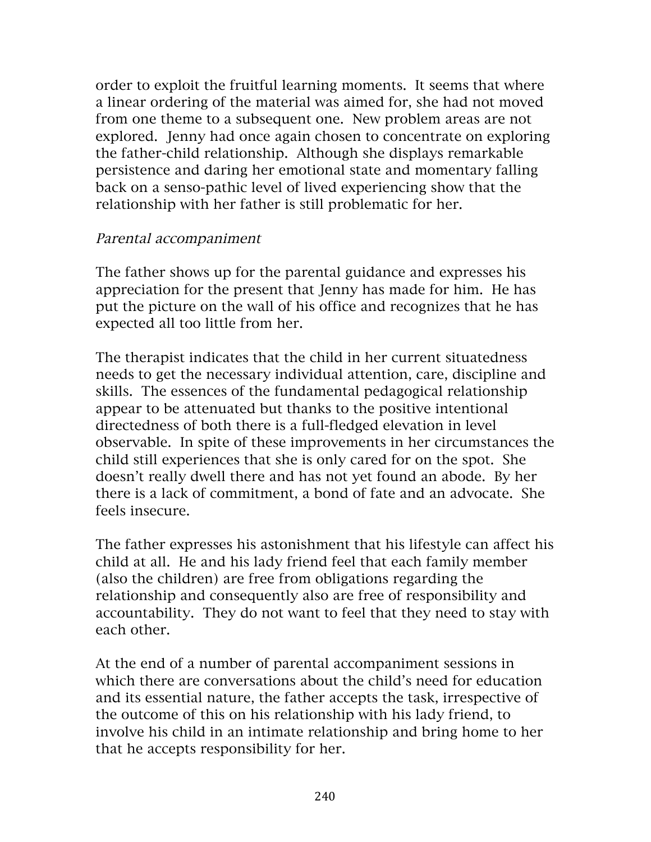order to exploit the fruitful learning moments. It seems that where a linear ordering of the material was aimed for, she had not moved from one theme to a subsequent one. New problem areas are not explored. Jenny had once again chosen to concentrate on exploring the father-child relationship. Although she displays remarkable persistence and daring her emotional state and momentary falling back on a senso-pathic level of lived experiencing show that the relationship with her father is still problematic for her.

### Parental accompaniment

The father shows up for the parental guidance and expresses his appreciation for the present that Jenny has made for him. He has put the picture on the wall of his office and recognizes that he has expected all too little from her.

The therapist indicates that the child in her current situatedness needs to get the necessary individual attention, care, discipline and skills. The essences of the fundamental pedagogical relationship appear to be attenuated but thanks to the positive intentional directedness of both there is a full-fledged elevation in level observable. In spite of these improvements in her circumstances the child still experiences that she is only cared for on the spot. She doesn't really dwell there and has not yet found an abode. By her there is a lack of commitment, a bond of fate and an advocate. She feels insecure.

The father expresses his astonishment that his lifestyle can affect his child at all. He and his lady friend feel that each family member (also the children) are free from obligations regarding the relationship and consequently also are free of responsibility and accountability. They do not want to feel that they need to stay with each other.

At the end of a number of parental accompaniment sessions in which there are conversations about the child's need for education and its essential nature, the father accepts the task, irrespective of the outcome of this on his relationship with his lady friend, to involve his child in an intimate relationship and bring home to her that he accepts responsibility for her.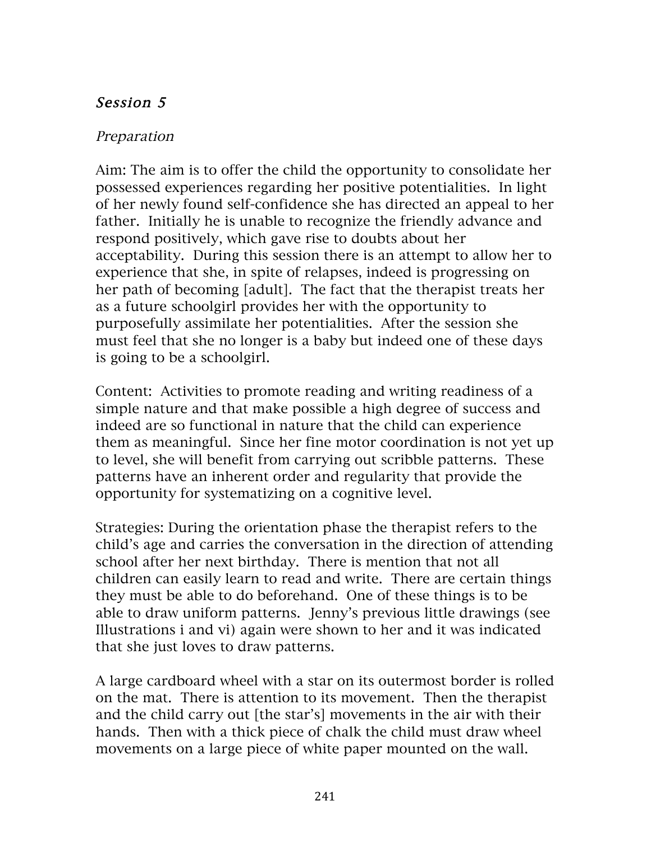## Session 5

### Preparation

Aim: The aim is to offer the child the opportunity to consolidate her possessed experiences regarding her positive potentialities. In light of her newly found self-confidence she has directed an appeal to her father. Initially he is unable to recognize the friendly advance and respond positively, which gave rise to doubts about her acceptability. During this session there is an attempt to allow her to experience that she, in spite of relapses, indeed is progressing on her path of becoming [adult]. The fact that the therapist treats her as a future schoolgirl provides her with the opportunity to purposefully assimilate her potentialities. After the session she must feel that she no longer is a baby but indeed one of these days is going to be a schoolgirl.

Content: Activities to promote reading and writing readiness of a simple nature and that make possible a high degree of success and indeed are so functional in nature that the child can experience them as meaningful. Since her fine motor coordination is not yet up to level, she will benefit from carrying out scribble patterns. These patterns have an inherent order and regularity that provide the opportunity for systematizing on a cognitive level.

Strategies: During the orientation phase the therapist refers to the child's age and carries the conversation in the direction of attending school after her next birthday. There is mention that not all children can easily learn to read and write. There are certain things they must be able to do beforehand. One of these things is to be able to draw uniform patterns. Jenny's previous little drawings (see Illustrations i and vi) again were shown to her and it was indicated that she just loves to draw patterns.

A large cardboard wheel with a star on its outermost border is rolled on the mat. There is attention to its movement. Then the therapist and the child carry out [the star's] movements in the air with their hands. Then with a thick piece of chalk the child must draw wheel movements on a large piece of white paper mounted on the wall.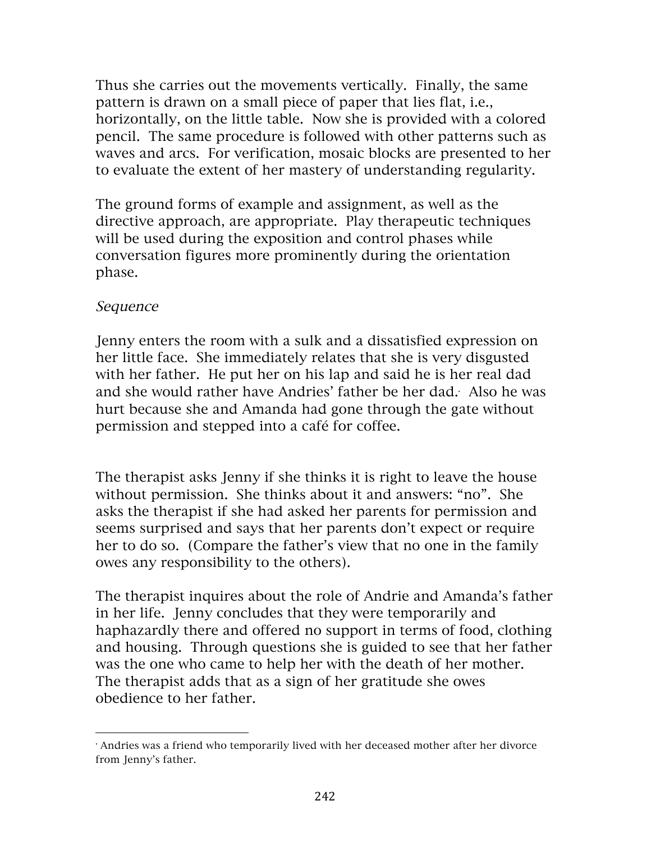Thus she carries out the movements vertically. Finally, the same pattern is drawn on a small piece of paper that lies flat, i.e., horizontally, on the little table. Now she is provided with a colored pencil. The same procedure is followed with other patterns such as waves and arcs. For verification, mosaic blocks are presented to her to evaluate the extent of her mastery of understanding regularity.

The ground forms of example and assignment, as well as the directive approach, are appropriate. Play therapeutic techniques will be used during the exposition and control phases while conversation figures more prominently during the orientation phase.

### Sequence

 

Jenny enters the room with a sulk and a dissatisfied expression on her little face. She immediately relates that she is very disgusted with her father. He put her on his lap and said he is her real dad and she would rather have Andries' father be her dad.• Also he was hurt because she and Amanda had gone through the gate without permission and stepped into a café for coffee.

The therapist asks Jenny if she thinks it is right to leave the house without permission. She thinks about it and answers: "no". She asks the therapist if she had asked her parents for permission and seems surprised and says that her parents don't expect or require her to do so. (Compare the father's view that no one in the family owes any responsibility to the others).

The therapist inquires about the role of Andrie and Amanda's father in her life. Jenny concludes that they were temporarily and haphazardly there and offered no support in terms of food, clothing and housing. Through questions she is guided to see that her father was the one who came to help her with the death of her mother. The therapist adds that as a sign of her gratitude she owes obedience to her father.

<sup>•</sup> Andries was a friend who temporarily lived with her deceased mother after her divorce from Jenny's father.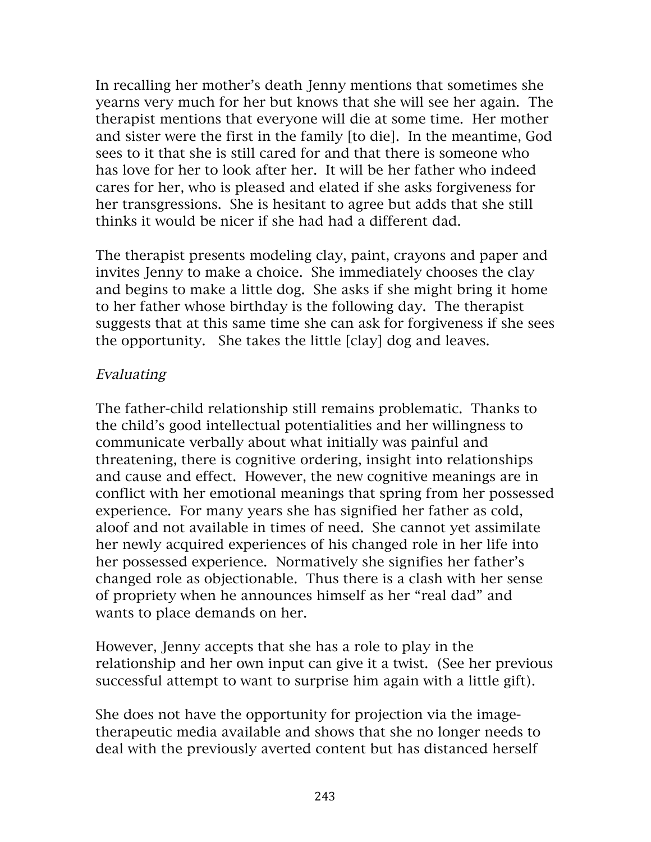In recalling her mother's death Jenny mentions that sometimes she yearns very much for her but knows that she will see her again. The therapist mentions that everyone will die at some time. Her mother and sister were the first in the family [to die]. In the meantime, God sees to it that she is still cared for and that there is someone who has love for her to look after her. It will be her father who indeed cares for her, who is pleased and elated if she asks forgiveness for her transgressions. She is hesitant to agree but adds that she still thinks it would be nicer if she had had a different dad.

The therapist presents modeling clay, paint, crayons and paper and invites Jenny to make a choice. She immediately chooses the clay and begins to make a little dog. She asks if she might bring it home to her father whose birthday is the following day. The therapist suggests that at this same time she can ask for forgiveness if she sees the opportunity. She takes the little [clay] dog and leaves.

### Evaluating

The father-child relationship still remains problematic. Thanks to the child's good intellectual potentialities and her willingness to communicate verbally about what initially was painful and threatening, there is cognitive ordering, insight into relationships and cause and effect. However, the new cognitive meanings are in conflict with her emotional meanings that spring from her possessed experience. For many years she has signified her father as cold, aloof and not available in times of need. She cannot yet assimilate her newly acquired experiences of his changed role in her life into her possessed experience. Normatively she signifies her father's changed role as objectionable. Thus there is a clash with her sense of propriety when he announces himself as her "real dad" and wants to place demands on her.

However, Jenny accepts that she has a role to play in the relationship and her own input can give it a twist. (See her previous successful attempt to want to surprise him again with a little gift).

She does not have the opportunity for projection via the imagetherapeutic media available and shows that she no longer needs to deal with the previously averted content but has distanced herself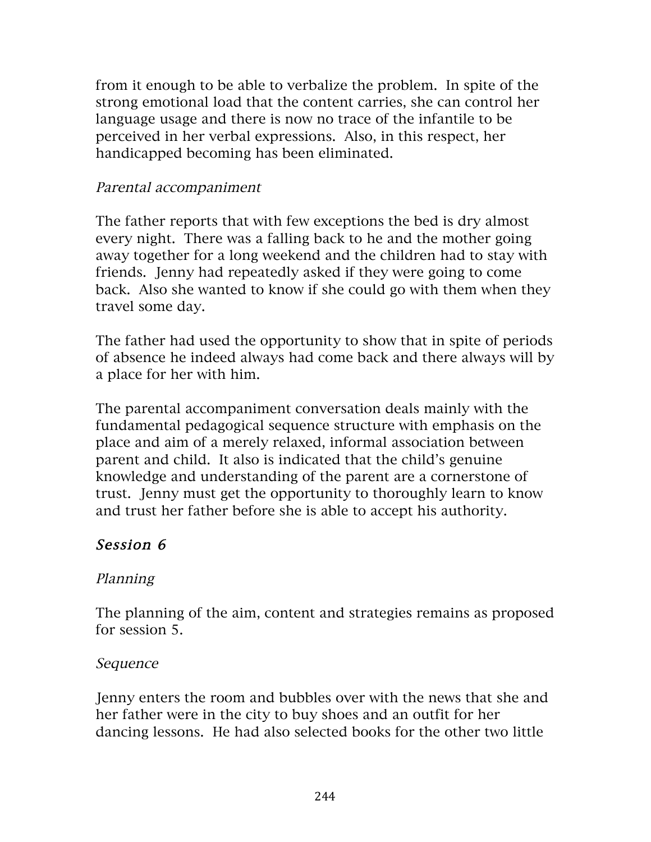from it enough to be able to verbalize the problem. In spite of the strong emotional load that the content carries, she can control her language usage and there is now no trace of the infantile to be perceived in her verbal expressions. Also, in this respect, her handicapped becoming has been eliminated.

### Parental accompaniment

The father reports that with few exceptions the bed is dry almost every night. There was a falling back to he and the mother going away together for a long weekend and the children had to stay with friends. Jenny had repeatedly asked if they were going to come back. Also she wanted to know if she could go with them when they travel some day.

The father had used the opportunity to show that in spite of periods of absence he indeed always had come back and there always will by a place for her with him.

The parental accompaniment conversation deals mainly with the fundamental pedagogical sequence structure with emphasis on the place and aim of a merely relaxed, informal association between parent and child. It also is indicated that the child's genuine knowledge and understanding of the parent are a cornerstone of trust. Jenny must get the opportunity to thoroughly learn to know and trust her father before she is able to accept his authority.

## Session 6

## Planning

The planning of the aim, content and strategies remains as proposed for session 5.

### Sequence

Jenny enters the room and bubbles over with the news that she and her father were in the city to buy shoes and an outfit for her dancing lessons. He had also selected books for the other two little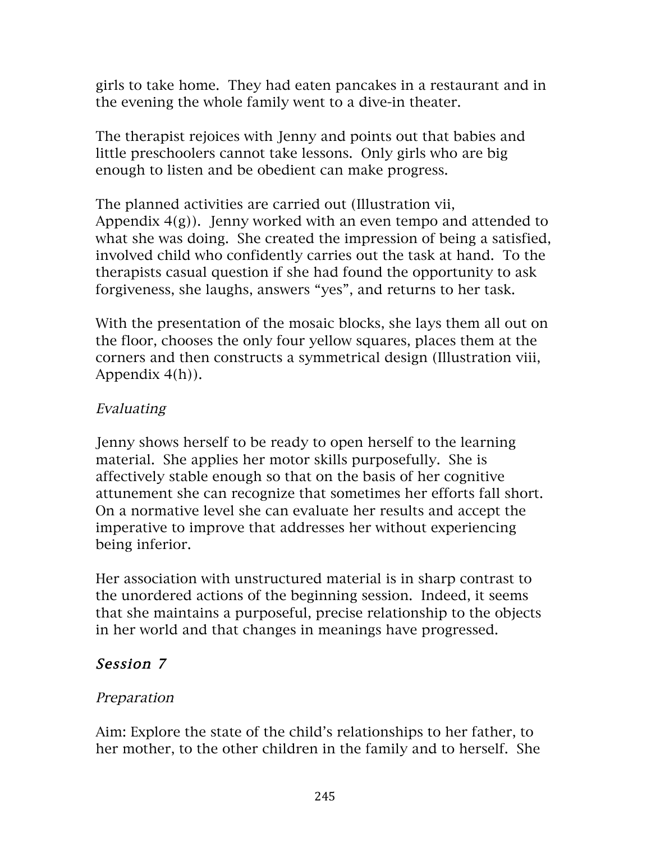girls to take home. They had eaten pancakes in a restaurant and in the evening the whole family went to a dive-in theater.

The therapist rejoices with Jenny and points out that babies and little preschoolers cannot take lessons. Only girls who are big enough to listen and be obedient can make progress.

The planned activities are carried out (Illustration vii, Appendix 4(g)). Jenny worked with an even tempo and attended to what she was doing. She created the impression of being a satisfied, involved child who confidently carries out the task at hand. To the therapists casual question if she had found the opportunity to ask forgiveness, she laughs, answers "yes", and returns to her task.

With the presentation of the mosaic blocks, she lays them all out on the floor, chooses the only four yellow squares, places them at the corners and then constructs a symmetrical design (Illustration viii, Appendix 4(h)).

## Evaluating

Jenny shows herself to be ready to open herself to the learning material. She applies her motor skills purposefully. She is affectively stable enough so that on the basis of her cognitive attunement she can recognize that sometimes her efforts fall short. On a normative level she can evaluate her results and accept the imperative to improve that addresses her without experiencing being inferior.

Her association with unstructured material is in sharp contrast to the unordered actions of the beginning session. Indeed, it seems that she maintains a purposeful, precise relationship to the objects in her world and that changes in meanings have progressed.

## Session 7

## Preparation

Aim: Explore the state of the child's relationships to her father, to her mother, to the other children in the family and to herself. She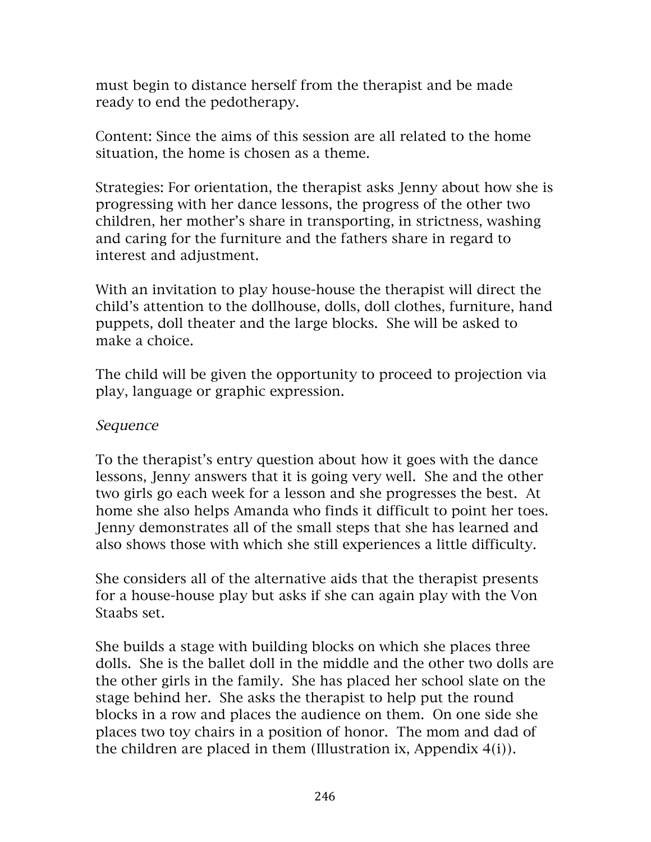must begin to distance herself from the therapist and be made ready to end the pedotherapy.

Content: Since the aims of this session are all related to the home situation, the home is chosen as a theme.

Strategies: For orientation, the therapist asks Jenny about how she is progressing with her dance lessons, the progress of the other two children, her mother's share in transporting, in strictness, washing and caring for the furniture and the fathers share in regard to interest and adjustment.

With an invitation to play house-house the therapist will direct the child's attention to the dollhouse, dolls, doll clothes, furniture, hand puppets, doll theater and the large blocks. She will be asked to make a choice.

The child will be given the opportunity to proceed to projection via play, language or graphic expression.

### Sequence

To the therapist's entry question about how it goes with the dance lessons, Jenny answers that it is going very well. She and the other two girls go each week for a lesson and she progresses the best. At home she also helps Amanda who finds it difficult to point her toes. Jenny demonstrates all of the small steps that she has learned and also shows those with which she still experiences a little difficulty.

She considers all of the alternative aids that the therapist presents for a house-house play but asks if she can again play with the Von Staabs set.

She builds a stage with building blocks on which she places three dolls. She is the ballet doll in the middle and the other two dolls are the other girls in the family. She has placed her school slate on the stage behind her. She asks the therapist to help put the round blocks in a row and places the audience on them. On one side she places two toy chairs in a position of honor. The mom and dad of the children are placed in them (Illustration ix, Appendix 4(i)).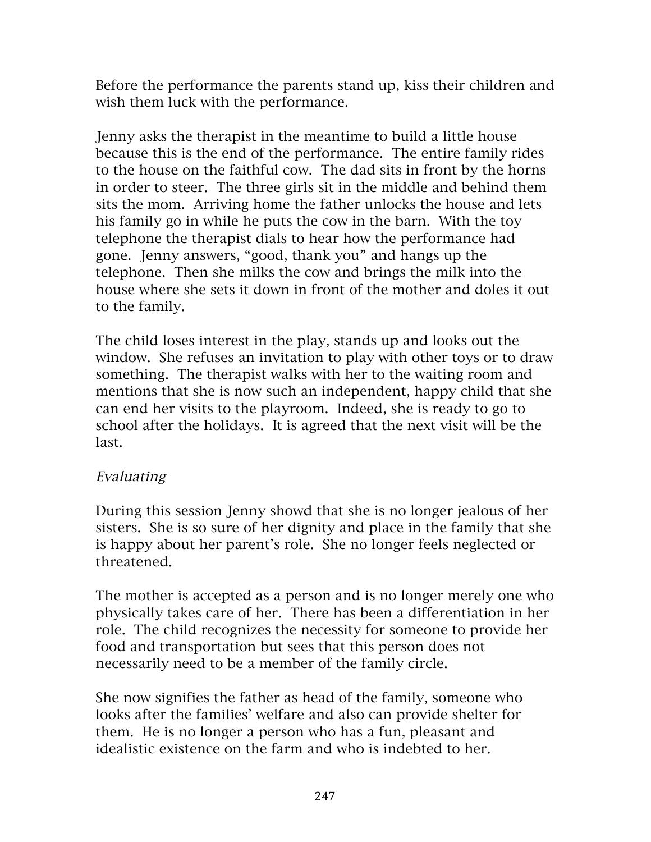Before the performance the parents stand up, kiss their children and wish them luck with the performance.

Jenny asks the therapist in the meantime to build a little house because this is the end of the performance. The entire family rides to the house on the faithful cow. The dad sits in front by the horns in order to steer. The three girls sit in the middle and behind them sits the mom. Arriving home the father unlocks the house and lets his family go in while he puts the cow in the barn. With the toy telephone the therapist dials to hear how the performance had gone. Jenny answers, "good, thank you" and hangs up the telephone. Then she milks the cow and brings the milk into the house where she sets it down in front of the mother and doles it out to the family.

The child loses interest in the play, stands up and looks out the window. She refuses an invitation to play with other toys or to draw something. The therapist walks with her to the waiting room and mentions that she is now such an independent, happy child that she can end her visits to the playroom. Indeed, she is ready to go to school after the holidays. It is agreed that the next visit will be the last.

### Evaluating

During this session Jenny showd that she is no longer jealous of her sisters. She is so sure of her dignity and place in the family that she is happy about her parent's role. She no longer feels neglected or threatened.

The mother is accepted as a person and is no longer merely one who physically takes care of her. There has been a differentiation in her role. The child recognizes the necessity for someone to provide her food and transportation but sees that this person does not necessarily need to be a member of the family circle.

She now signifies the father as head of the family, someone who looks after the families' welfare and also can provide shelter for them. He is no longer a person who has a fun, pleasant and idealistic existence on the farm and who is indebted to her.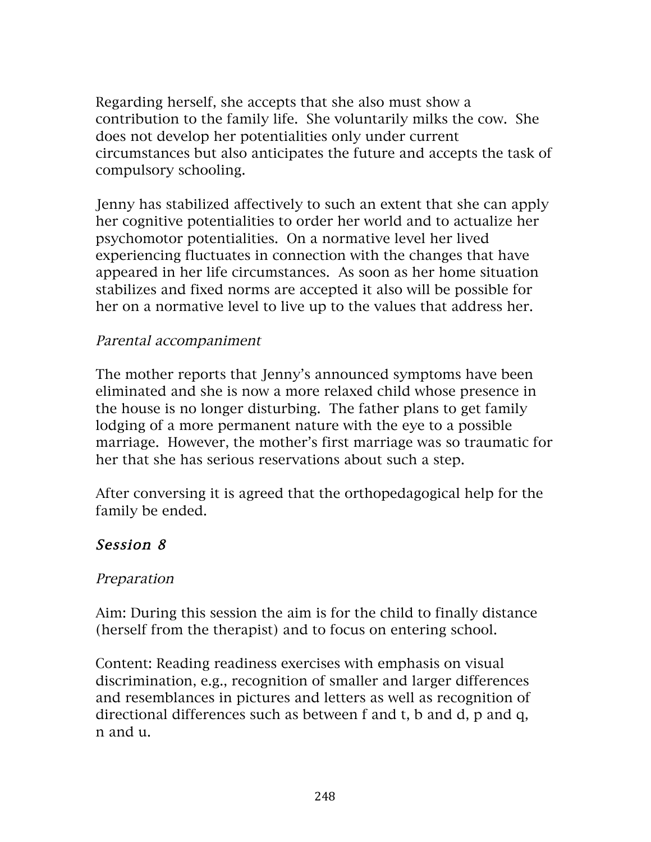Regarding herself, she accepts that she also must show a contribution to the family life. She voluntarily milks the cow. She does not develop her potentialities only under current circumstances but also anticipates the future and accepts the task of compulsory schooling.

Jenny has stabilized affectively to such an extent that she can apply her cognitive potentialities to order her world and to actualize her psychomotor potentialities. On a normative level her lived experiencing fluctuates in connection with the changes that have appeared in her life circumstances. As soon as her home situation stabilizes and fixed norms are accepted it also will be possible for her on a normative level to live up to the values that address her.

#### Parental accompaniment

The mother reports that Jenny's announced symptoms have been eliminated and she is now a more relaxed child whose presence in the house is no longer disturbing. The father plans to get family lodging of a more permanent nature with the eye to a possible marriage. However, the mother's first marriage was so traumatic for her that she has serious reservations about such a step.

After conversing it is agreed that the orthopedagogical help for the family be ended.

## Session 8

#### Preparation

Aim: During this session the aim is for the child to finally distance (herself from the therapist) and to focus on entering school.

Content: Reading readiness exercises with emphasis on visual discrimination, e.g., recognition of smaller and larger differences and resemblances in pictures and letters as well as recognition of directional differences such as between f and t, b and d, p and q, n and u.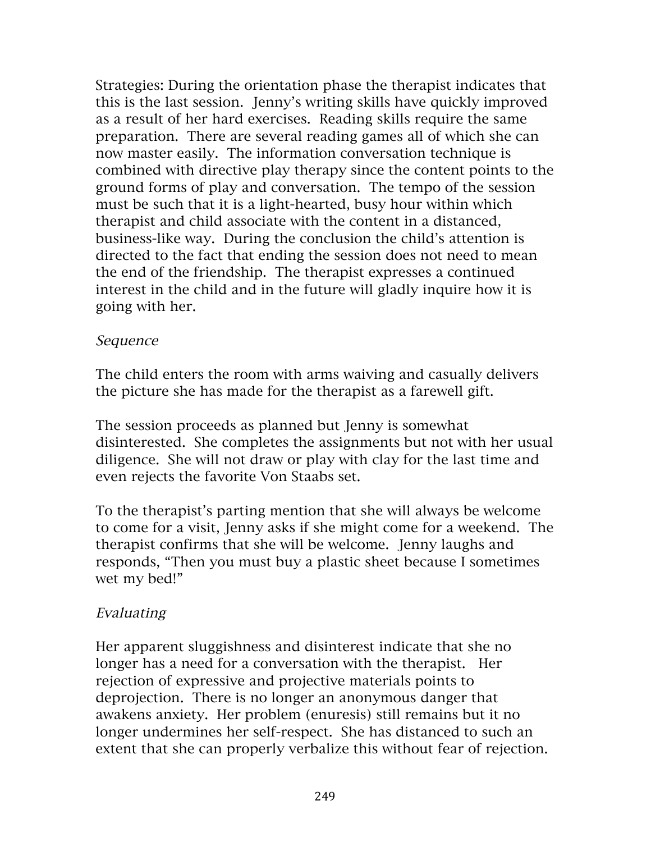Strategies: During the orientation phase the therapist indicates that this is the last session. Jenny's writing skills have quickly improved as a result of her hard exercises. Reading skills require the same preparation. There are several reading games all of which she can now master easily. The information conversation technique is combined with directive play therapy since the content points to the ground forms of play and conversation. The tempo of the session must be such that it is a light-hearted, busy hour within which therapist and child associate with the content in a distanced, business-like way. During the conclusion the child's attention is directed to the fact that ending the session does not need to mean the end of the friendship. The therapist expresses a continued interest in the child and in the future will gladly inquire how it is going with her.

#### Sequence

The child enters the room with arms waiving and casually delivers the picture she has made for the therapist as a farewell gift.

The session proceeds as planned but Jenny is somewhat disinterested. She completes the assignments but not with her usual diligence. She will not draw or play with clay for the last time and even rejects the favorite Von Staabs set.

To the therapist's parting mention that she will always be welcome to come for a visit, Jenny asks if she might come for a weekend. The therapist confirms that she will be welcome. Jenny laughs and responds, "Then you must buy a plastic sheet because I sometimes wet my bed!"

### Evaluating

Her apparent sluggishness and disinterest indicate that she no longer has a need for a conversation with the therapist. Her rejection of expressive and projective materials points to deprojection. There is no longer an anonymous danger that awakens anxiety. Her problem (enuresis) still remains but it no longer undermines her self-respect. She has distanced to such an extent that she can properly verbalize this without fear of rejection.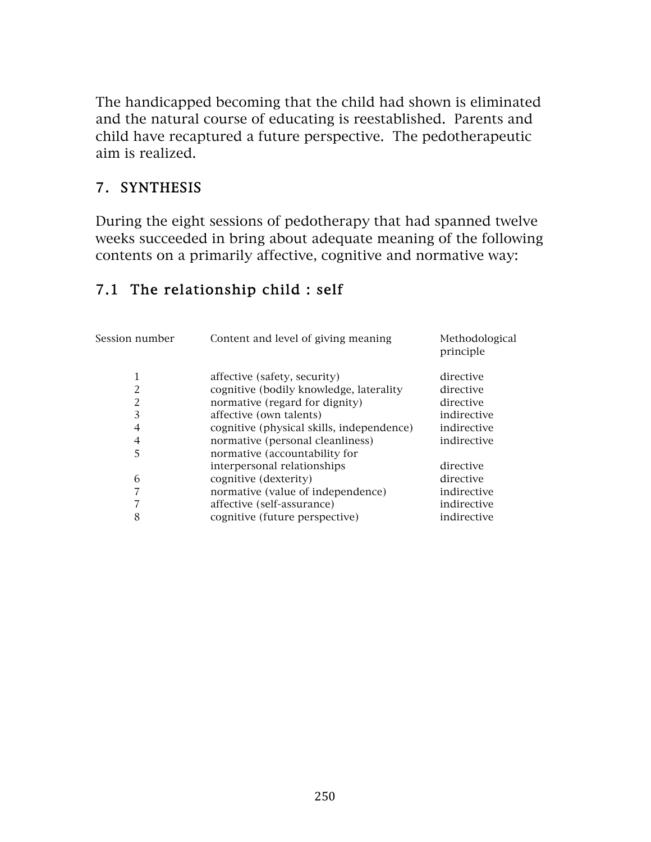The handicapped becoming that the child had shown is eliminated and the natural course of educating is reestablished. Parents and child have recaptured a future perspective. The pedotherapeutic aim is realized.

### 7. SYNTHESIS

During the eight sessions of pedotherapy that had spanned twelve weeks succeeded in bring about adequate meaning of the following contents on a primarily affective, cognitive and normative way:

### 7.1 The relationship child : self

| Session number | Content and level of giving meaning       | Methodological<br>principle |
|----------------|-------------------------------------------|-----------------------------|
| 1              | affective (safety, security)              | directive                   |
| 2              | cognitive (bodily knowledge, laterality   | directive                   |
| 2              | normative (regard for dignity)            | directive                   |
| 3              | affective (own talents)                   | indirective                 |
| 4              | cognitive (physical skills, independence) | indirective                 |
| 4              | normative (personal cleanliness)          | indirective                 |
| 5              | normative (accountability for             |                             |
|                | interpersonal relationships               | directive                   |
| 6              | cognitive (dexterity)                     | directive                   |
|                | normative (value of independence)         | indirective                 |
|                | affective (self-assurance)                | indirective                 |
| 8              | cognitive (future perspective)            | indirective                 |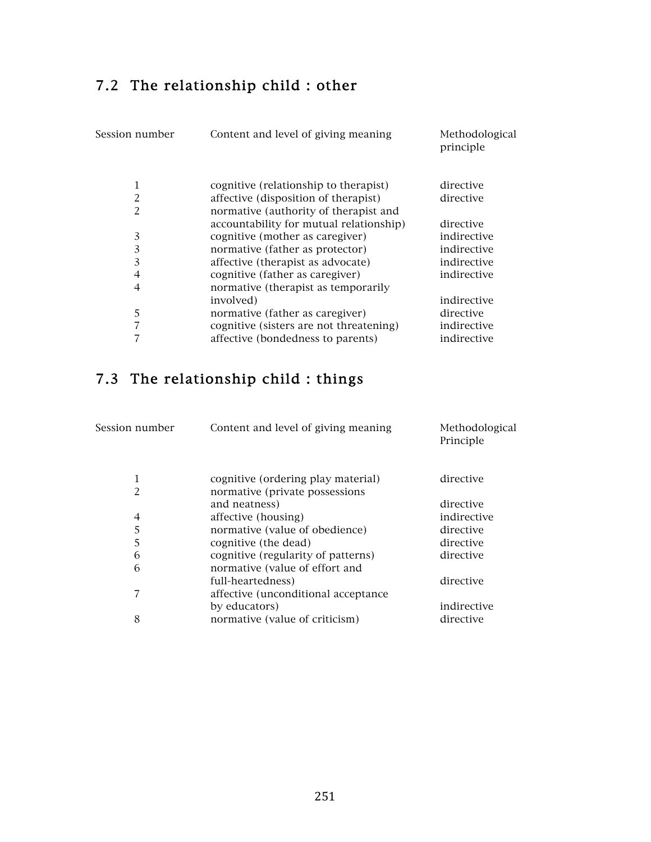# 7.2 The relationship child : other

| Session number | Content and level of giving meaning     | Methodological<br>principle |
|----------------|-----------------------------------------|-----------------------------|
| 1              | cognitive (relationship to therapist)   | directive                   |
| $\overline{2}$ | affective (disposition of therapist)    | directive                   |
| $\overline{2}$ | normative (authority of therapist and   |                             |
|                | accountability for mutual relationship) | directive                   |
| 3              | cognitive (mother as caregiver)         | indirective                 |
| 3              | normative (father as protector)         | indirective                 |
| 3              | affective (therapist as advocate)       | indirective                 |
| 4              | cognitive (father as caregiver)         | indirective                 |
| $\overline{4}$ | normative (therapist as temporarily     |                             |
|                | involved)                               | indirective                 |
| 5              | normative (father as caregiver)         | directive                   |
| 7              | cognitive (sisters are not threatening) | indirective                 |
|                | affective (bondedness to parents)       | indirective                 |

# 7.3 The relationship child : things

| Session number | Content and level of giving meaning | Methodological<br>Principle |
|----------------|-------------------------------------|-----------------------------|
|                | cognitive (ordering play material)  | directive                   |
| 2              | normative (private possessions      |                             |
|                | and neatness)                       | directive                   |
| 4              | affective (housing)                 | indirective                 |
| 5              | normative (value of obedience)      | directive                   |
| 5              | cognitive (the dead)                | directive                   |
| 6              | cognitive (regularity of patterns)  | directive                   |
| 6              | normative (value of effort and      |                             |
|                | full-heartedness)                   | directive                   |
| 7              | affective (unconditional acceptance |                             |
|                | by educators)                       | indirective                 |
| 8              | normative (value of criticism)      | directive                   |